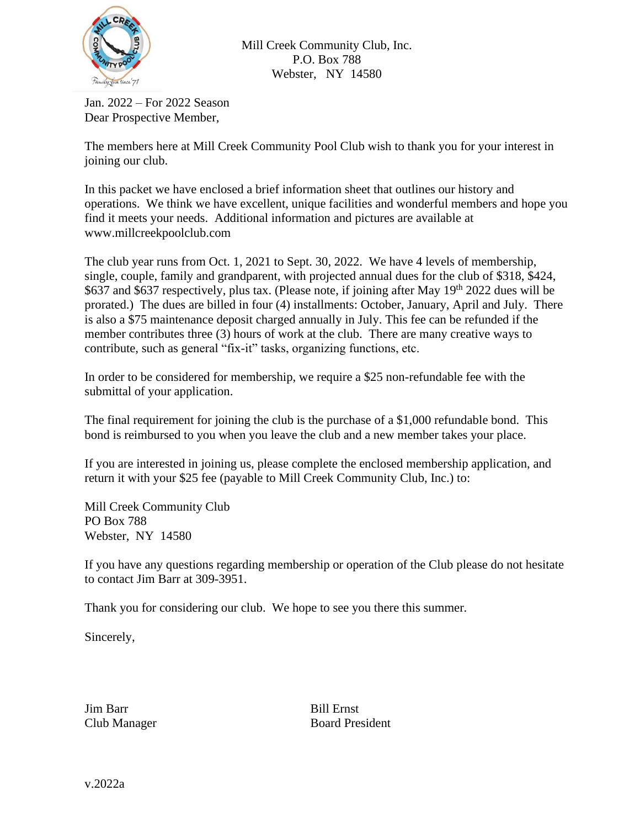

Mill Creek Community Club, Inc. P.O. Box 788 Webster, NY 14580

Jan. 2022 – For 2022 Season Dear Prospective Member,

The members here at Mill Creek Community Pool Club wish to thank you for your interest in joining our club.

In this packet we have enclosed a brief information sheet that outlines our history and operations. We think we have excellent, unique facilities and wonderful members and hope you find it meets your needs. Additional information and pictures are available at www.millcreekpoolclub.com

The club year runs from Oct. 1, 2021 to Sept. 30, 2022. We have 4 levels of membership, single, couple, family and grandparent, with projected annual dues for the club of \$318, \$424, \$637 and \$637 respectively, plus tax. (Please note, if joining after May 19<sup>th</sup> 2022 dues will be prorated.) The dues are billed in four (4) installments: October, January, April and July. There is also a \$75 maintenance deposit charged annually in July. This fee can be refunded if the member contributes three (3) hours of work at the club. There are many creative ways to contribute, such as general "fix-it" tasks, organizing functions, etc.

In order to be considered for membership, we require a \$25 non-refundable fee with the submittal of your application.

The final requirement for joining the club is the purchase of a \$1,000 refundable bond. This bond is reimbursed to you when you leave the club and a new member takes your place.

If you are interested in joining us, please complete the enclosed membership application, and return it with your \$25 fee (payable to Mill Creek Community Club, Inc.) to:

Mill Creek Community Club PO Box 788 Webster, NY 14580

If you have any questions regarding membership or operation of the Club please do not hesitate to contact Jim Barr at 309-3951.

Thank you for considering our club. We hope to see you there this summer.

Sincerely,

Jim Barr Bill Ernst

Club Manager Board President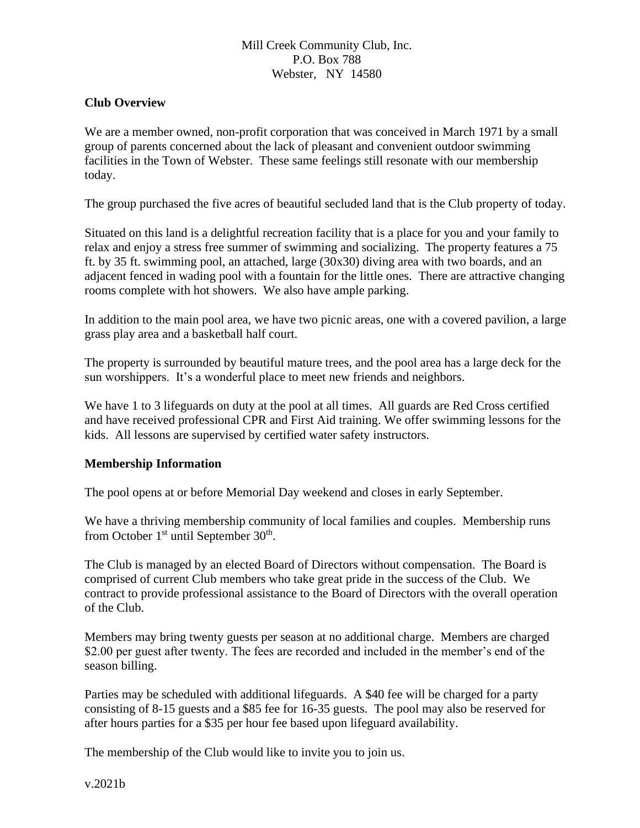## Mill Creek Community Club, Inc. P.O. Box 788 Webster, NY 14580

### **Club Overview**

We are a member owned, non-profit corporation that was conceived in March 1971 by a small group of parents concerned about the lack of pleasant and convenient outdoor swimming facilities in the Town of Webster. These same feelings still resonate with our membership today.

The group purchased the five acres of beautiful secluded land that is the Club property of today.

Situated on this land is a delightful recreation facility that is a place for you and your family to relax and enjoy a stress free summer of swimming and socializing. The property features a 75 ft. by 35 ft. swimming pool, an attached, large (30x30) diving area with two boards, and an adjacent fenced in wading pool with a fountain for the little ones. There are attractive changing rooms complete with hot showers. We also have ample parking.

In addition to the main pool area, we have two picnic areas, one with a covered pavilion, a large grass play area and a basketball half court.

The property is surrounded by beautiful mature trees, and the pool area has a large deck for the sun worshippers. It's a wonderful place to meet new friends and neighbors.

We have 1 to 3 lifeguards on duty at the pool at all times. All guards are Red Cross certified and have received professional CPR and First Aid training. We offer swimming lessons for the kids. All lessons are supervised by certified water safety instructors.

#### **Membership Information**

The pool opens at or before Memorial Day weekend and closes in early September.

We have a thriving membership community of local families and couples. Membership runs from October  $1<sup>st</sup>$  until September 30<sup>th</sup>.

The Club is managed by an elected Board of Directors without compensation. The Board is comprised of current Club members who take great pride in the success of the Club. We contract to provide professional assistance to the Board of Directors with the overall operation of the Club.

Members may bring twenty guests per season at no additional charge. Members are charged \$2.00 per guest after twenty. The fees are recorded and included in the member's end of the season billing.

Parties may be scheduled with additional lifeguards. A \$40 fee will be charged for a party consisting of 8-15 guests and a \$85 fee for 16-35 guests. The pool may also be reserved for after hours parties for a \$35 per hour fee based upon lifeguard availability.

The membership of the Club would like to invite you to join us.